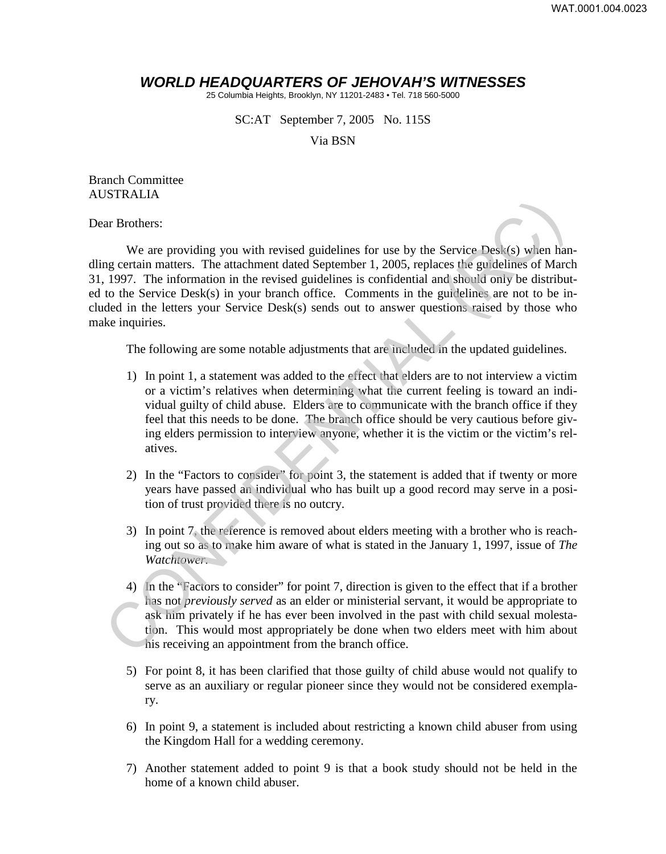## *WORLD HEADQUARTERS OF JEHOVAH'S WITNESSES*

25 Columbia Heights, Brooklyn, NY 11201-2483 • Tel. 718 560-5000

SC:AT September 7, 2005 No. 115S

Via BSN

Branch Committee AUSTRALIA

Dear Brothers:

We are providing you with revised guidelines for use by the Service Desk(s) when handling certain matters. The attachment dated September 1, 2005, replaces the guidelines of March 31, 1997. The information in the revised guidelines is confidential and should only be distributed to the Service Desk(s) in your branch office. Comments in the guidelines are not to be included in the letters your Service Desk(s) sends out to answer questions raised by those who make inquiries. So FROMEST:<br>
We are providing you with revised guidelines for use by the Service Desk(s) when hand green time are providing you with revised guidelines is confidential and should only be distribute to the Service Desk(s) i

The following are some notable adjustments that are included in the updated guidelines.

- 1) In point 1, a statement was added to the effect that elders are to not interview a victim or a victim's relatives when determining what the current feeling is toward an individual guilty of child abuse. Elders are to communicate with the branch office if they feel that this needs to be done. The branch office should be very cautious before giving elders permission to interview anyone, whether it is the victim or the victim's relatives.
- 2) In the "Factors to consider" for point 3, the statement is added that if twenty or more years have passed an individual who has built up a good record may serve in a position of trust provided there is no outcry.
- 3) In point 7, the reference is removed about elders meeting with a brother who is reaching out so as to make him aware of what is stated in the January 1, 1997, issue of *The Watchtower.*
- 4) In the "Factors to consider" for point 7, direction is given to the effect that if a brother has not *previously served* as an elder or ministerial servant, it would be appropriate to ask him privately if he has ever been involved in the past with child sexual molestation. This would most appropriately be done when two elders meet with him about his receiving an appointment from the branch office.
- 5) For point 8, it has been clarified that those guilty of child abuse would not qualify to serve as an auxiliary or regular pioneer since they would not be considered exemplary.
- 6) In point 9, a statement is included about restricting a known child abuser from using the Kingdom Hall for a wedding ceremony.
- 7) Another statement added to point 9 is that a book study should not be held in the home of a known child abuser.